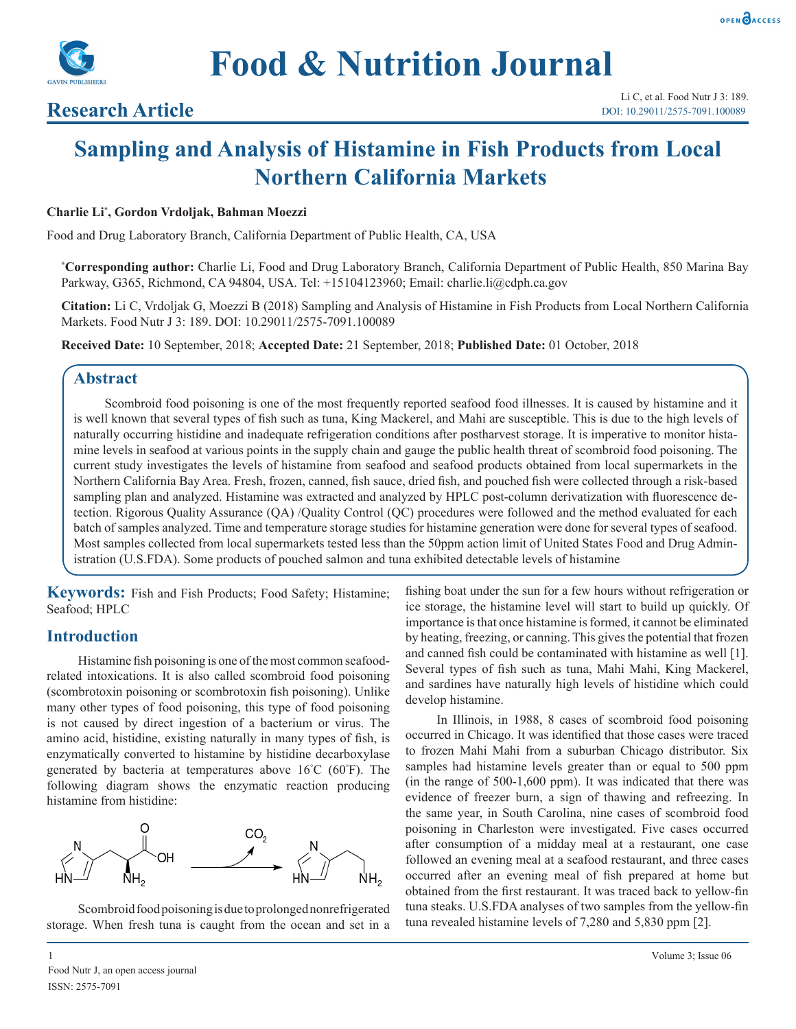



## **Research Article**

# **Sampling and Analysis of Histamine in Fish Products from Local Northern California Markets**

#### **Charlie Li\* , Gordon Vrdoljak, Bahman Moezzi**

Food and Drug Laboratory Branch, California Department of Public Health, CA, USA

**\* Corresponding author:** Charlie Li, Food and Drug Laboratory Branch, California Department of Public Health, 850 Marina Bay Parkway, G365, Richmond, CA 94804, USA. Tel: +15104123960; Email: charlie.li@cdph.ca.gov

**Citation:** Li C, Vrdoljak G, Moezzi B (2018) Sampling and Analysis of Histamine in Fish Products from Local Northern California Markets. Food Nutr J 3: 189. DOI: 10.29011/2575-7091.100089

**Received Date:** 10 September, 2018; **Accepted Date:** 21 September, 2018; **Published Date:** 01 October, 2018

### **Abstract**

Scombroid food poisoning is one of the most frequently reported seafood food illnesses. It is caused by histamine and it is well known that several types of fish such as tuna, King Mackerel, and Mahi are susceptible. This is due to the high levels of naturally occurring histidine and inadequate refrigeration conditions after postharvest storage. It is imperative to monitor histamine levels in seafood at various points in the supply chain and gauge the public health threat of scombroid food poisoning. The current study investigates the levels of histamine from seafood and seafood products obtained from local supermarkets in the Northern California Bay Area. Fresh, frozen, canned, fish sauce, dried fish, and pouched fish were collected through a risk-based sampling plan and analyzed. Histamine was extracted and analyzed by HPLC post-column derivatization with fluorescence detection. Rigorous Quality Assurance (QA) /Quality Control (QC) procedures were followed and the method evaluated for each batch of samples analyzed. Time and temperature storage studies for histamine generation were done for several types of seafood. Most samples collected from local supermarkets tested less than the 50ppm action limit of United States Food and Drug Administration (U.S.FDA). Some products of pouched salmon and tuna exhibited detectable levels of histamine

**Keywords:** Fish and Fish Products; Food Safety; Histamine; Seafood; HPLC

### **Introduction**

Histamine fish poisoning is one of the most common seafoodrelated intoxications. It is also called scombroid food poisoning (scombrotoxin poisoning or scombrotoxin fish poisoning). Unlike many other types of food poisoning, this type of food poisoning is not caused by direct ingestion of a bacterium or virus. The amino acid, histidine, existing naturally in many types of fish, is enzymatically converted to histamine by histidine decarboxylase generated by bacteria at temperatures above 16° C (60° F). The following diagram shows the enzymatic reaction producing histamine from histidine:



Scombroid food poisoning is due to prolonged nonrefrigerated storage. When fresh tuna is caught from the ocean and set in a fishing boat under the sun for a few hours without refrigeration or ice storage, the histamine level will start to build up quickly. Of importance is that once histamine is formed, it cannot be eliminated by heating, freezing, or canning. This gives the potential that frozen and canned fish could be contaminated with histamine as well [1]. Several types of fish such as tuna, Mahi Mahi, King Mackerel, and sardines have naturally high levels of histidine which could develop histamine.

In Illinois, in 1988, 8 cases of scombroid food poisoning occurred in Chicago. It was identified that those cases were traced to frozen Mahi Mahi from a suburban Chicago distributor. Six samples had histamine levels greater than or equal to 500 ppm (in the range of 500-1,600 ppm). It was indicated that there was evidence of freezer burn, a sign of thawing and refreezing. In the same year, in South Carolina, nine cases of scombroid food poisoning in Charleston were investigated. Five cases occurred after consumption of a midday meal at a restaurant, one case followed an evening meal at a seafood restaurant, and three cases occurred after an evening meal of fish prepared at home but obtained from the first restaurant. It was traced back to yellow-fin tuna steaks. U.S.FDA analyses of two samples from the yellow-fin tuna revealed histamine levels of 7,280 and 5,830 ppm [2].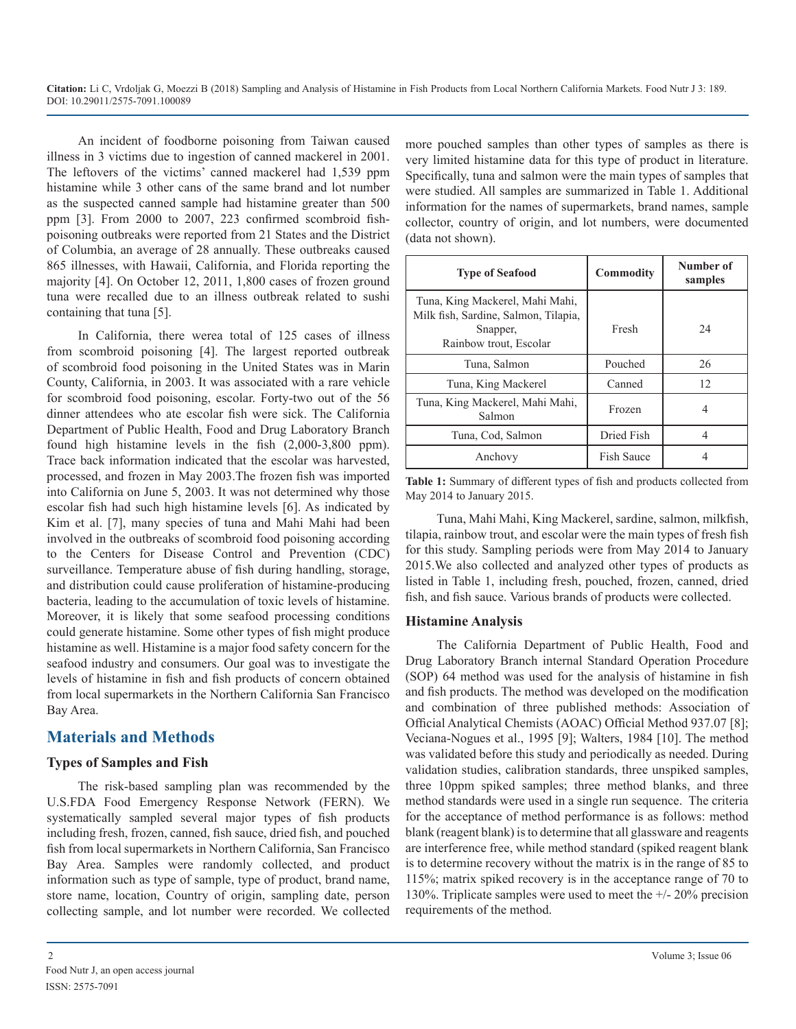An incident of foodborne poisoning from Taiwan caused illness in 3 victims due to ingestion of canned mackerel in 2001. The leftovers of the victims' canned mackerel had 1,539 ppm histamine while 3 other cans of the same brand and lot number as the suspected canned sample had histamine greater than 500 ppm [3]. From 2000 to 2007, 223 confirmed scombroid fishpoisoning outbreaks were reported from 21 States and the District of Columbia, an average of 28 annually. These outbreaks caused 865 illnesses, with Hawaii, California, and Florida reporting the majority [4]. On October 12, 2011, 1,800 cases of frozen ground tuna were recalled due to an illness outbreak related to sushi containing that tuna [5].

In California, there werea total of 125 cases of illness from scombroid poisoning [4]. The largest reported outbreak of scombroid food poisoning in the United States was in Marin County, California, in 2003. It was associated with a rare vehicle for scombroid food poisoning, escolar. Forty-two out of the 56 dinner attendees who ate escolar fish were sick. The California Department of Public Health, Food and Drug Laboratory Branch found high histamine levels in the fish (2,000-3,800 ppm). Trace back information indicated that the escolar was harvested, processed, and frozen in May 2003.The frozen fish was imported into California on June 5, 2003. It was not determined why those escolar fish had such high histamine levels [6]. As indicated by Kim et al. [7], many species of tuna and Mahi Mahi had been involved in the outbreaks of scombroid food poisoning according to the Centers for Disease Control and Prevention (CDC) surveillance. Temperature abuse of fish during handling, storage, and distribution could cause proliferation of histamine-producing bacteria, leading to the accumulation of toxic levels of histamine. Moreover, it is likely that some seafood processing conditions could generate histamine. Some other types of fish might produce histamine as well. Histamine is a major food safety concern for the seafood industry and consumers. Our goal was to investigate the levels of histamine in fish and fish products of concern obtained from local supermarkets in the Northern California San Francisco Bay Area.

### **Materials and Methods**

### **Types of Samples and Fish**

The risk-based sampling plan was recommended by the U.S.FDA Food Emergency Response Network (FERN). We systematically sampled several major types of fish products including fresh, frozen, canned, fish sauce, dried fish, and pouched fish from local supermarkets in Northern California, San Francisco Bay Area. Samples were randomly collected, and product information such as type of sample, type of product, brand name, store name, location, Country of origin, sampling date, person collecting sample, and lot number were recorded. We collected more pouched samples than other types of samples as there is very limited histamine data for this type of product in literature. Specifically, tuna and salmon were the main types of samples that were studied. All samples are summarized in Table 1. Additional information for the names of supermarkets, brand names, sample collector, country of origin, and lot numbers, were documented (data not shown).

| <b>Type of Seafood</b>                                                                                        | Commodity         | Number of<br>samples |
|---------------------------------------------------------------------------------------------------------------|-------------------|----------------------|
| Tuna, King Mackerel, Mahi Mahi,<br>Milk fish, Sardine, Salmon, Tilapia,<br>Snapper,<br>Rainbow trout, Escolar | Fresh             | 24                   |
| Tuna, Salmon                                                                                                  | Pouched           | 26                   |
| Tuna, King Mackerel                                                                                           | Canned            | 12                   |
| Tuna, King Mackerel, Mahi Mahi,<br>Salmon                                                                     | Frozen            | 4                    |
| Tuna, Cod, Salmon                                                                                             | Dried Fish        | 4                    |
| Anchovy                                                                                                       | <b>Fish Sauce</b> |                      |

**Table 1:** Summary of different types of fish and products collected from May 2014 to January 2015.

Tuna, Mahi Mahi, King Mackerel, sardine, salmon, milkfish, tilapia, rainbow trout, and escolar were the main types of fresh fish for this study. Sampling periods were from May 2014 to January 2015.We also collected and analyzed other types of products as listed in Table 1, including fresh, pouched, frozen, canned, dried fish, and fish sauce. Various brands of products were collected.

#### **Histamine Analysis**

The California Department of Public Health, Food and Drug Laboratory Branch internal Standard Operation Procedure (SOP) 64 method was used for the analysis of histamine in fish and fish products. The method was developed on the modification and combination of three published methods: Association of Official Analytical Chemists (AOAC) Official Method 937.07 [8]; Veciana-Nogues et al., 1995 [9]; Walters, 1984 [10]. The method was validated before this study and periodically as needed. During validation studies, calibration standards, three unspiked samples, three 10ppm spiked samples; three method blanks, and three method standards were used in a single run sequence. The criteria for the acceptance of method performance is as follows: method blank (reagent blank) is to determine that all glassware and reagents are interference free, while method standard (spiked reagent blank is to determine recovery without the matrix is in the range of 85 to 115%; matrix spiked recovery is in the acceptance range of 70 to 130%. Triplicate samples were used to meet the +/- 20% precision requirements of the method.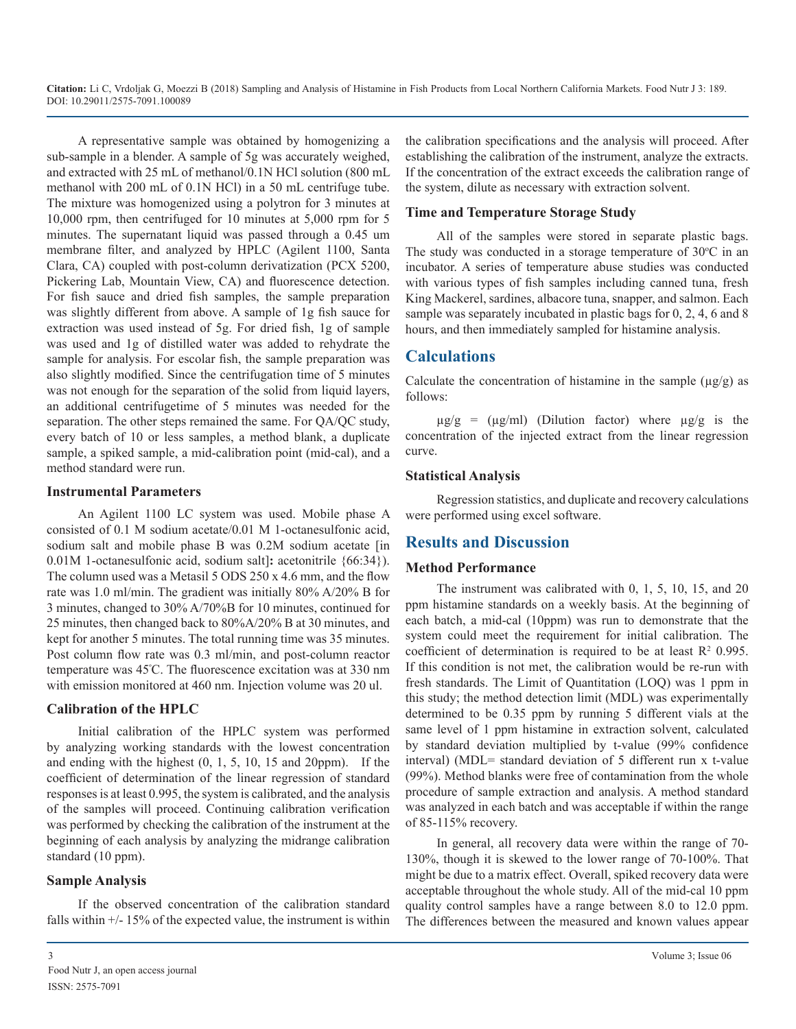A representative sample was obtained by homogenizing a sub-sample in a blender. A sample of 5g was accurately weighed, and extracted with 25 mL of methanol/0.1N HCl solution (800 mL methanol with 200 mL of 0.1N HCl) in a 50 mL centrifuge tube. The mixture was homogenized using a polytron for 3 minutes at 10,000 rpm, then centrifuged for 10 minutes at 5,000 rpm for 5 minutes. The supernatant liquid was passed through a 0.45 um membrane filter, and analyzed by HPLC (Agilent 1100, Santa Clara, CA) coupled with post-column derivatization (PCX 5200, Pickering Lab, Mountain View, CA) and fluorescence detection. For fish sauce and dried fish samples, the sample preparation was slightly different from above. A sample of 1g fish sauce for extraction was used instead of 5g. For dried fish, 1g of sample was used and 1g of distilled water was added to rehydrate the sample for analysis. For escolar fish, the sample preparation was also slightly modified. Since the centrifugation time of 5 minutes was not enough for the separation of the solid from liquid layers, an additional centrifugetime of 5 minutes was needed for the separation. The other steps remained the same. For QA/QC study, every batch of 10 or less samples, a method blank, a duplicate sample, a spiked sample, a mid-calibration point (mid-cal), and a method standard were run.

#### **Instrumental Parameters**

An Agilent 1100 LC system was used. Mobile phase A consisted of 0.1 M sodium acetate/0.01 M 1-octanesulfonic acid, sodium salt and mobile phase B was  $0.2M$  sodium acetate [in 0.01M 1-octanesulfonic acid, sodium salt]**:** acetonitrile {66:34}). The column used was a Metasil 5 ODS 250 x 4.6 mm, and the flow rate was 1.0 ml/min. The gradient was initially 80% A/20% B for 3 minutes, changed to 30% A/70%B for 10 minutes, continued for 25 minutes, then changed back to 80%A/20% B at 30 minutes, and kept for another 5 minutes. The total running time was 35 minutes. Post column flow rate was 0.3 ml/min, and post-column reactor temperature was 45º C. The fluorescence excitation was at 330 nm with emission monitored at 460 nm. Injection volume was 20 ul.

#### **Calibration of the HPLC**

Initial calibration of the HPLC system was performed by analyzing working standards with the lowest concentration and ending with the highest  $(0, 1, 5, 10, 15, 10, 15)$  and 20ppm). If the coefficient of determination of the linear regression of standard responses is at least 0.995, the system is calibrated, and the analysis of the samples will proceed. Continuing calibration verification was performed by checking the calibration of the instrument at the beginning of each analysis by analyzing the midrange calibration standard (10 ppm).

### **Sample Analysis**

If the observed concentration of the calibration standard falls within  $+/- 15\%$  of the expected value, the instrument is within

### **Time and Temperature Storage Study**

All of the samples were stored in separate plastic bags. The study was conducted in a storage temperature of  $30^{\circ}$ C in an incubator. A series of temperature abuse studies was conducted with various types of fish samples including canned tuna, fresh King Mackerel, sardines, albacore tuna, snapper, and salmon. Each sample was separately incubated in plastic bags for 0, 2, 4, 6 and 8 hours, and then immediately sampled for histamine analysis.

### **Calculations**

Calculate the concentration of histamine in the sample  $(\mu g/g)$  as follows:

 $\mu$ g/g = ( $\mu$ g/ml) (Dilution factor) where  $\mu$ g/g is the concentration of the injected extract from the linear regression curve.

### **Statistical Analysis**

Regression statistics, and duplicate and recovery calculations were performed using excel software.

### **Results and Discussion**

#### **Method Performance**

The instrument was calibrated with 0, 1, 5, 10, 15, and 20 ppm histamine standards on a weekly basis. At the beginning of each batch, a mid-cal (10ppm) was run to demonstrate that the system could meet the requirement for initial calibration. The coefficient of determination is required to be at least  $\mathbb{R}^2$  0.995. If this condition is not met, the calibration would be re-run with fresh standards. The Limit of Quantitation (LOQ) was 1 ppm in this study; the method detection limit (MDL) was experimentally determined to be 0.35 ppm by running 5 different vials at the same level of 1 ppm histamine in extraction solvent, calculated by standard deviation multiplied by t-value (99% confidence interval) (MDL= standard deviation of 5 different run x t-value (99%). Method blanks were free of contamination from the whole procedure of sample extraction and analysis. A method standard was analyzed in each batch and was acceptable if within the range of 85-115% recovery.

In general, all recovery data were within the range of 70- 130%, though it is skewed to the lower range of 70-100%. That might be due to a matrix effect. Overall, spiked recovery data were acceptable throughout the whole study. All of the mid-cal 10 ppm quality control samples have a range between 8.0 to 12.0 ppm. The differences between the measured and known values appear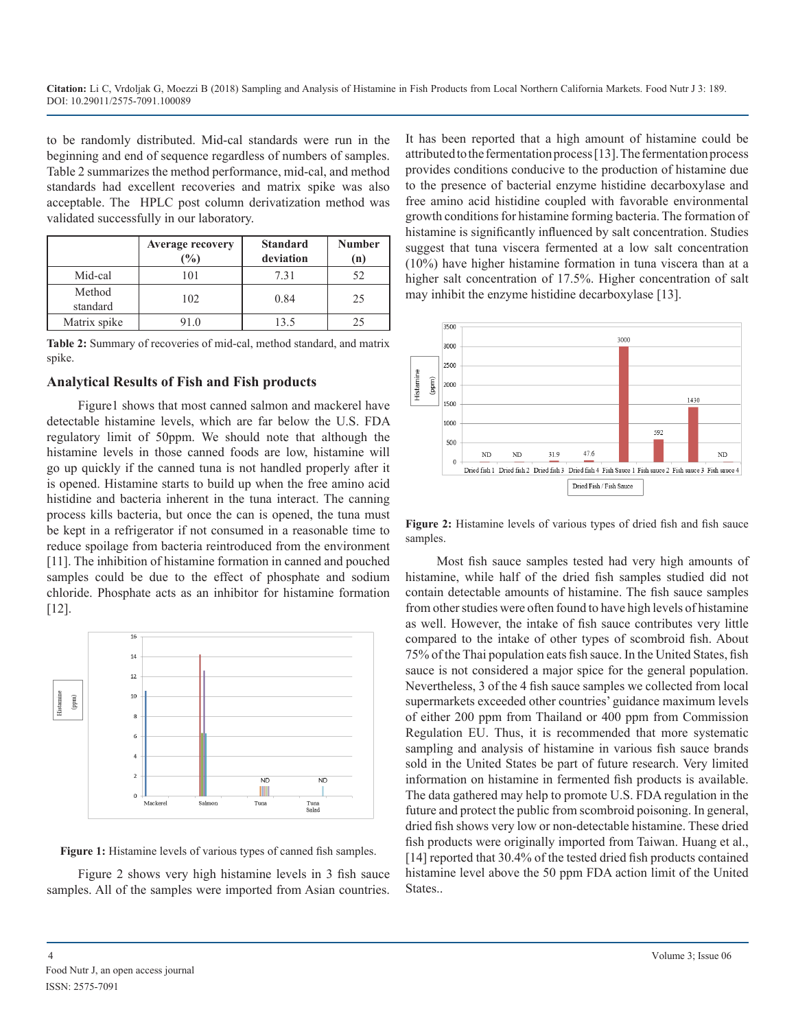to be randomly distributed. Mid-cal standards were run in the beginning and end of sequence regardless of numbers of samples. Table 2 summarizes the method performance, mid-cal, and method standards had excellent recoveries and matrix spike was also acceptable. The HPLC post column derivatization method was validated successfully in our laboratory.

|                    | <b>Average recovery</b><br>$\frac{1}{2}$ | <b>Standard</b><br>deviation | <b>Number</b><br>(n) |
|--------------------|------------------------------------------|------------------------------|----------------------|
| Mid-cal            | 101                                      | 7.31                         | 52                   |
| Method<br>standard | 102                                      | 0.84                         | 25                   |
| Matrix spike       | 10                                       | 13.5                         | 75                   |

**Table 2:** Summary of recoveries of mid-cal, method standard, and matrix spike.

### **Analytical Results of Fish and Fish products**

Figure1 shows that most canned salmon and mackerel have detectable histamine levels, which are far below the U.S. FDA regulatory limit of 50ppm. We should note that although the histamine levels in those canned foods are low, histamine will go up quickly if the canned tuna is not handled properly after it is opened. Histamine starts to build up when the free amino acid histidine and bacteria inherent in the tuna interact. The canning process kills bacteria, but once the can is opened, the tuna must be kept in a refrigerator if not consumed in a reasonable time to reduce spoilage from bacteria reintroduced from the environment [11]. The inhibition of histamine formation in canned and pouched samples could be due to the effect of phosphate and sodium chloride. Phosphate acts as an inhibitor for histamine formation  $[12]$ .



**Figure 1:** Histamine levels of various types of canned fish samples.

Figure 2 shows very high histamine levels in 3 fish sauce samples. All of the samples were imported from Asian countries.

It has been reported that a high amount of histamine could be attributed to the fermentation process [13]. The fermentation process provides conditions conducive to the production of histamine due to the presence of bacterial enzyme histidine decarboxylase and free amino acid histidine coupled with favorable environmental growth conditions for histamine forming bacteria. The formation of histamine is significantly influenced by salt concentration. Studies suggest that tuna viscera fermented at a low salt concentration (10%) have higher histamine formation in tuna viscera than at a higher salt concentration of 17.5%. Higher concentration of salt may inhibit the enzyme histidine decarboxylase [13].



**Figure 2:** Histamine levels of various types of dried fish and fish sauce samples.

Most fish sauce samples tested had very high amounts of histamine, while half of the dried fish samples studied did not contain detectable amounts of histamine. The fish sauce samples from other studies were often found to have high levels of histamine as well. However, the intake of fish sauce contributes very little compared to the intake of other types of scombroid fish. About 75% of the Thai population eats fish sauce. In the United States, fish sauce is not considered a major spice for the general population. Nevertheless, 3 of the 4 fish sauce samples we collected from local supermarkets exceeded other countries' guidance maximum levels of either 200 ppm from Thailand or 400 ppm from Commission Regulation EU. Thus, it is recommended that more systematic sampling and analysis of histamine in various fish sauce brands sold in the United States be part of future research. Very limited information on histamine in fermented fish products is available. The data gathered may help to promote U.S. FDA regulation in the future and protect the public from scombroid poisoning. In general, dried fish shows very low or non-detectable histamine. These dried fish products were originally imported from Taiwan. Huang et al., [14] reported that 30.4% of the tested dried fish products contained histamine level above the 50 ppm FDA action limit of the United States..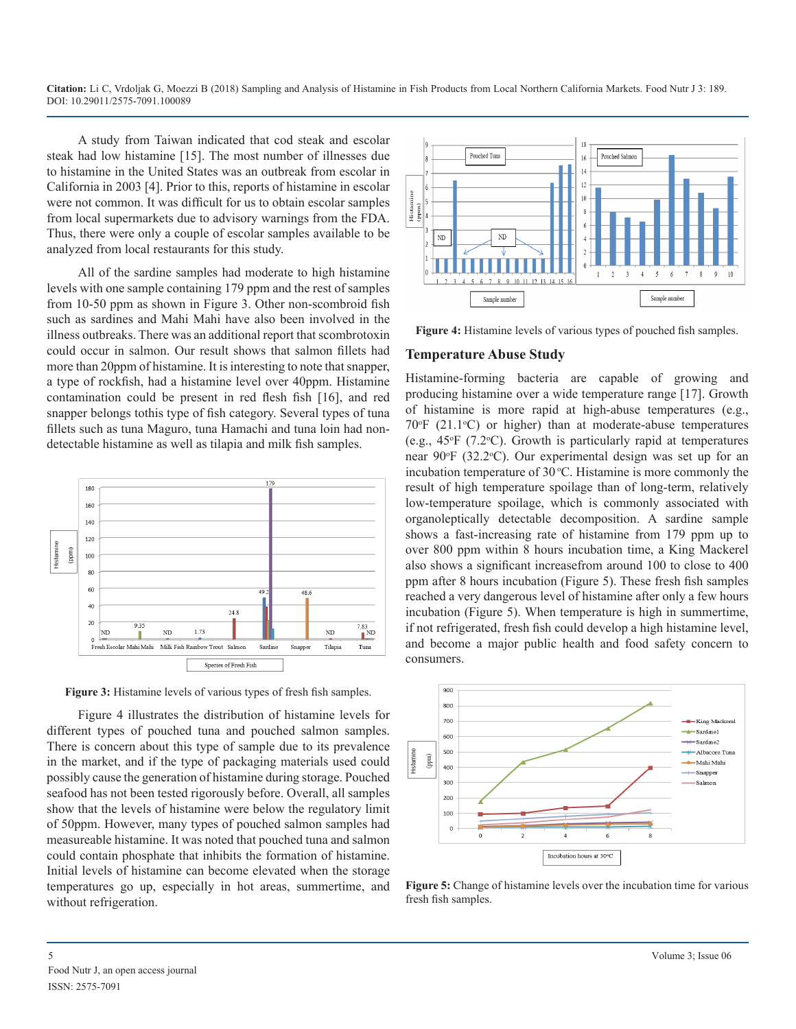A study from Taiwan indicated that cod steak and escolar steak had low histamine [15]. The most number of illnesses due to histamine in the United States was an outbreak from escolar in California in 2003 [4]. Prior to this, reports of histamine in escolar were not common. It was difficult for us to obtain escolar samples from local supermarkets due to advisory warnings from the FDA. Thus, there were only a couple of escolar samples available to be analyzed from local restaurants for this study.

All of the sardine samples had moderate to high histamine levels with one sample containing 179 ppm and the rest of samples from 10-50 ppm as shown in Figure 3. Other non-scombroid fish such as sardines and Mahi Mahi have also been involved in the illness outbreaks. There was an additional report that scombrotoxin could occur in salmon. Our result shows that salmon fillets had more than 20ppm of histamine. It is interesting to note that snapper, a type of rockfish, had a histamine level over 40ppm. Histamine contamination could be present in red flesh fish [16], and red snapper belongs tothis type of fish category. Several types of tuna fillets such as tuna Maguro, tuna Hamachi and tuna loin had nondetectable histamine as well as tilapia and milk fish samples.



Figure 3: Histamine levels of various types of fresh fish samples.

Figure 4 illustrates the distribution of histamine levels for different types of pouched tuna and pouched salmon samples. There is concern about this type of sample due to its prevalence in the market, and if the type of packaging materials used could possibly cause the generation of histamine during storage. Pouched seafood has not been tested rigorously before. Overall, all samples show that the levels of histamine were below the regulatory limit of 50ppm. However, many types of pouched salmon samples had measureable histamine. It was noted that pouched tuna and salmon could contain phosphate that inhibits the formation of histamine. Initial levels of histamine can become elevated when the storage temperatures go up, especially in hot areas, summertime, and without refrigeration.



**Figure 4:** Histamine levels of various types of pouched fish samples.

#### **Temperature Abuse Study**

Histamine-forming bacteria are capable of growing and producing histamine over a wide temperature range [17]. Growth of histamine is more rapid at high-abuse temperatures (e.g.,  $70^{\circ}$ F (21.1 $^{\circ}$ C) or higher) than at moderate-abuse temperatures (e.g.,  $45^{\circ}F$  (7.2 $^{\circ}C$ ). Growth is particularly rapid at temperatures near 90°F (32.2°C). Our experimental design was set up for an incubation temperature of  $30^{\circ}$ C. Histamine is more commonly the result of high temperature spoilage than of long-term, relatively low-temperature spoilage, which is commonly associated with organoleptically detectable decomposition. A sardine sample shows a fast-increasing rate of histamine from 179 ppm up to over 800 ppm within 8 hours incubation time, a King Mackerel also shows a significant increasefrom around 100 to close to 400 ppm after 8 hours incubation (Figure 5). These fresh fish samples reached a very dangerous level of histamine after only a few hours incubation (Figure 5). When temperature is high in summertime, if not refrigerated, fresh fish could develop a high histamine level, and become a major public health and food safety concern to consumers.



**Figure 5:** Change of histamine levels over the incubation time for various fresh fish samples.